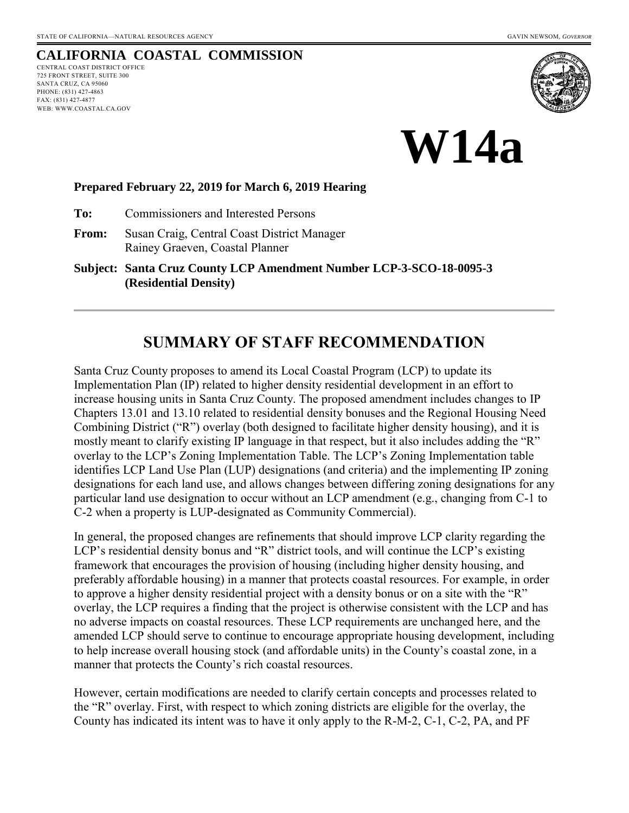# **CALIFORNIA COASTAL COMMISSION**

CENTRAL COAST DISTRICT OFFICE 725 FRONT STREET, SUITE 300 SANTA CRUZ, CA 95060 PHONE: (831) 427-4863 FAX: (831) 427-4877 WEB: WWW.COASTAL.CA.GOV





#### **Prepared February 22, 2019 for March 6, 2019 Hearing**

**To:** Commissioners and Interested Persons

**From:** Susan Craig, Central Coast District Manager Rainey Graeven, Coastal Planner

**Subject: Santa Cruz County LCP Amendment Number LCP-3-SCO-18-0095-3 (Residential Density)**

# **SUMMARY OF STAFF RECOMMENDATION**

Santa Cruz County proposes to amend its Local Coastal Program (LCP) to update its Implementation Plan (IP) related to higher density residential development in an effort to increase housing units in Santa Cruz County. The proposed amendment includes changes to IP Chapters 13.01 and 13.10 related to residential density bonuses and the Regional Housing Need Combining District ("R") overlay (both designed to facilitate higher density housing), and it is mostly meant to clarify existing IP language in that respect, but it also includes adding the "R" overlay to the LCP's Zoning Implementation Table. The LCP's Zoning Implementation table identifies LCP Land Use Plan (LUP) designations (and criteria) and the implementing IP zoning designations for each land use, and allows changes between differing zoning designations for any particular land use designation to occur without an LCP amendment (e.g., changing from C-1 to C-2 when a property is LUP-designated as Community Commercial).

In general, the proposed changes are refinements that should improve LCP clarity regarding the LCP's residential density bonus and "R" district tools, and will continue the LCP's existing framework that encourages the provision of housing (including higher density housing, and preferably affordable housing) in a manner that protects coastal resources. For example, in order to approve a higher density residential project with a density bonus or on a site with the "R" overlay, the LCP requires a finding that the project is otherwise consistent with the LCP and has no adverse impacts on coastal resources. These LCP requirements are unchanged here, and the amended LCP should serve to continue to encourage appropriate housing development, including to help increase overall housing stock (and affordable units) in the County's coastal zone, in a manner that protects the County's rich coastal resources.

However, certain modifications are needed to clarify certain concepts and processes related to the "R" overlay. First, with respect to which zoning districts are eligible for the overlay, the County has indicated its intent was to have it only apply to the R-M-2, C-1, C-2, PA, and PF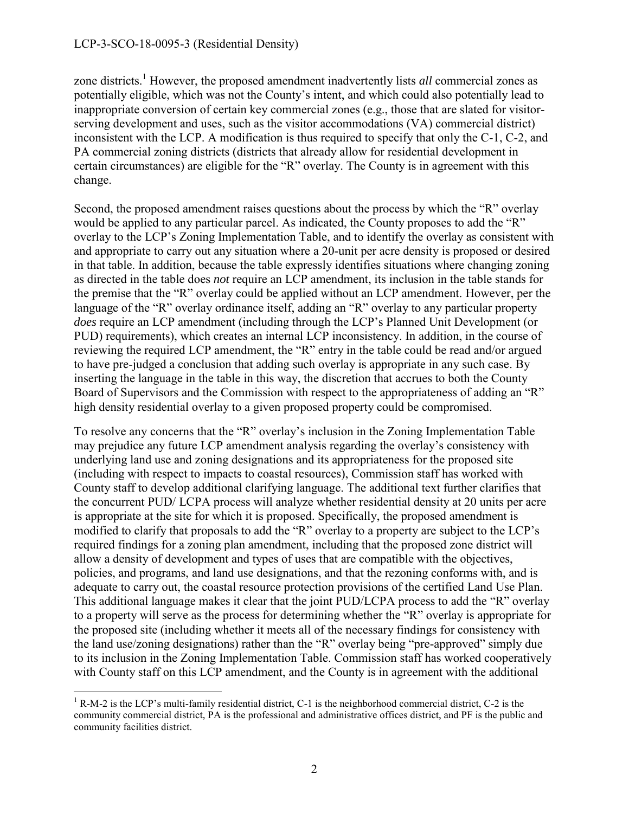zone districts.<sup>1</sup> However, the proposed amendment inadvertently lists *all* commercial zones as potentially eligible, which was not the County's intent, and which could also potentially lead to inappropriate conversion of certain key commercial zones (e.g., those that are slated for visitorserving development and uses, such as the visitor accommodations (VA) commercial district) inconsistent with the LCP. A modification is thus required to specify that only the C-1, C-2, and PA commercial zoning districts (districts that already allow for residential development in certain circumstances) are eligible for the "R" overlay. The County is in agreement with this change.

Second, the proposed amendment raises questions about the process by which the "R" overlay would be applied to any particular parcel. As indicated, the County proposes to add the "R" overlay to the LCP's Zoning Implementation Table, and to identify the overlay as consistent with and appropriate to carry out any situation where a 20-unit per acre density is proposed or desired in that table. In addition, because the table expressly identifies situations where changing zoning as directed in the table does *not* require an LCP amendment, its inclusion in the table stands for the premise that the "R" overlay could be applied without an LCP amendment. However, per the language of the "R" overlay ordinance itself, adding an "R" overlay to any particular property *does* require an LCP amendment (including through the LCP's Planned Unit Development (or PUD) requirements), which creates an internal LCP inconsistency. In addition, in the course of reviewing the required LCP amendment, the "R" entry in the table could be read and/or argued to have pre-judged a conclusion that adding such overlay is appropriate in any such case. By inserting the language in the table in this way, the discretion that accrues to both the County Board of Supervisors and the Commission with respect to the appropriateness of adding an "R" high density residential overlay to a given proposed property could be compromised.

To resolve any concerns that the "R" overlay's inclusion in the Zoning Implementation Table may prejudice any future LCP amendment analysis regarding the overlay's consistency with underlying land use and zoning designations and its appropriateness for the proposed site (including with respect to impacts to coastal resources), Commission staff has worked with County staff to develop additional clarifying language. The additional text further clarifies that the concurrent PUD/ LCPA process will analyze whether residential density at 20 units per acre is appropriate at the site for which it is proposed. Specifically, the proposed amendment is modified to clarify that proposals to add the "R" overlay to a property are subject to the LCP's required findings for a zoning plan amendment, including that the proposed zone district will allow a density of development and types of uses that are compatible with the objectives, policies, and programs, and land use designations, and that the rezoning conforms with, and is adequate to carry out, the coastal resource protection provisions of the certified Land Use Plan. This additional language makes it clear that the joint PUD/LCPA process to add the "R" overlay to a property will serve as the process for determining whether the "R" overlay is appropriate for the proposed site (including whether it meets all of the necessary findings for consistency with the land use/zoning designations) rather than the "R" overlay being "pre-approved" simply due to its inclusion in the Zoning Implementation Table. Commission staff has worked cooperatively with County staff on this LCP amendment, and the County is in agreement with the additional

 $\overline{a}$  $<sup>1</sup>$  R-M-2 is the LCP's multi-family residential district, C-1 is the neighborhood commercial district, C-2 is the</sup> community commercial district, PA is the professional and administrative offices district, and PF is the public and community facilities district.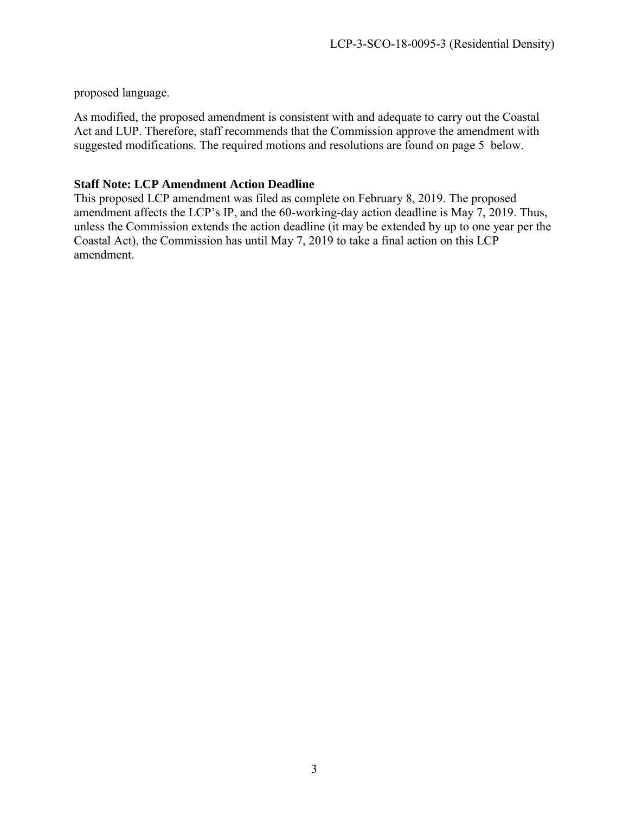proposed language.

As modified, the proposed amendment is consistent with and adequate to carry out the Coastal Act and LUP. Therefore, staff recommends that the Commission approve the amendment with suggested modifications. The required motions and resolutions are found on page 5 below.

#### **Staff Note: LCP Amendment Action Deadline**

This proposed LCP amendment was filed as complete on February 8, 2019. The proposed amendment affects the LCP's IP, and the 60-working-day action deadline is May 7, 2019. Thus, unless the Commission extends the action deadline (it may be extended by up to one year per the Coastal Act), the Commission has until May 7, 2019 to take a final action on this LCP amendment.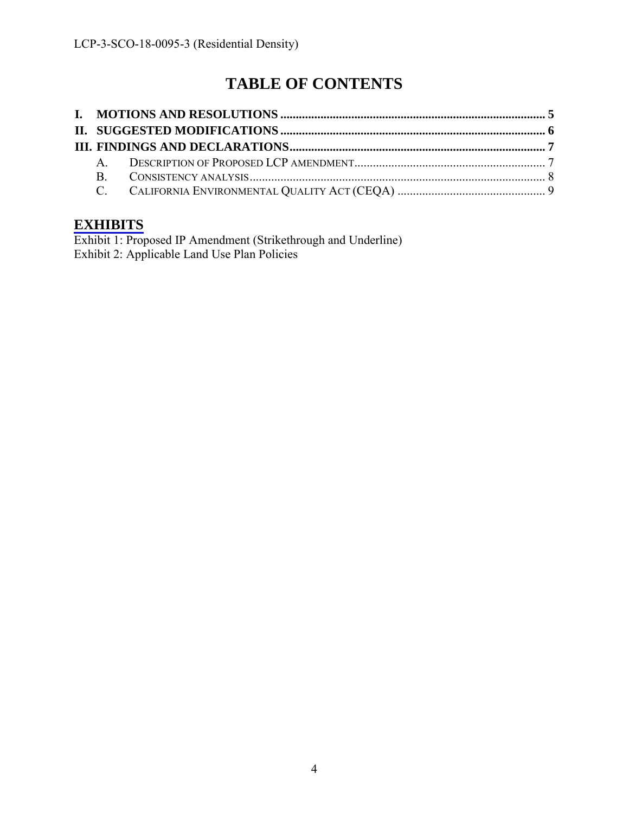# **TABLE OF CONTENTS**

### **[EXHIBITS](https://documents.coastal.ca.gov/reports/2019/3/W14a/W14a-3-2019-exhibits.pdf)**

Exhibit 1: Proposed IP Amendment (Strikethrough and Underline) Exhibit 2: Applicable Land Use Plan Policies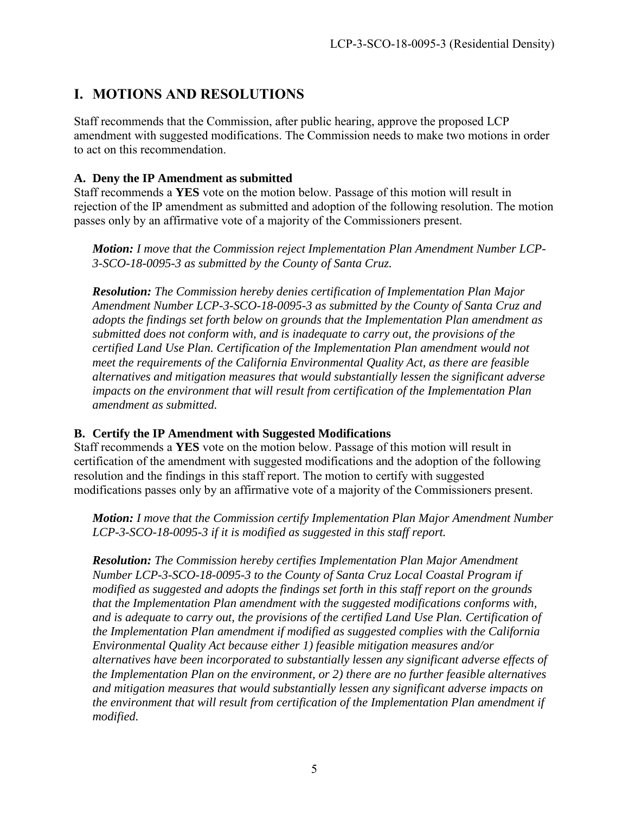# <span id="page-4-0"></span>**I. MOTIONS AND RESOLUTIONS**

Staff recommends that the Commission, after public hearing, approve the proposed LCP amendment with suggested modifications. The Commission needs to make two motions in order to act on this recommendation.

#### **A. Deny the IP Amendment as submitted**

Staff recommends a **YES** vote on the motion below. Passage of this motion will result in rejection of the IP amendment as submitted and adoption of the following resolution. The motion passes only by an affirmative vote of a majority of the Commissioners present.

*Motion: I move that the Commission reject Implementation Plan Amendment Number LCP-3-SCO-18-0095-3 as submitted by the County of Santa Cruz.* 

*Resolution: The Commission hereby denies certification of Implementation Plan Major Amendment Number LCP-3-SCO-18-0095-3 as submitted by the County of Santa Cruz and adopts the findings set forth below on grounds that the Implementation Plan amendment as submitted does not conform with, and is inadequate to carry out, the provisions of the certified Land Use Plan. Certification of the Implementation Plan amendment would not meet the requirements of the California Environmental Quality Act, as there are feasible alternatives and mitigation measures that would substantially lessen the significant adverse impacts on the environment that will result from certification of the Implementation Plan amendment as submitted.* 

#### **B. Certify the IP Amendment with Suggested Modifications**

Staff recommends a **YES** vote on the motion below. Passage of this motion will result in certification of the amendment with suggested modifications and the adoption of the following resolution and the findings in this staff report. The motion to certify with suggested modifications passes only by an affirmative vote of a majority of the Commissioners present.

*Motion: I move that the Commission certify Implementation Plan Major Amendment Number LCP-3-SCO-18-0095-3 if it is modified as suggested in this staff report.* 

*Resolution: The Commission hereby certifies Implementation Plan Major Amendment Number LCP-3-SCO-18-0095-3 to the County of Santa Cruz Local Coastal Program if modified as suggested and adopts the findings set forth in this staff report on the grounds that the Implementation Plan amendment with the suggested modifications conforms with, and is adequate to carry out, the provisions of the certified Land Use Plan. Certification of the Implementation Plan amendment if modified as suggested complies with the California Environmental Quality Act because either 1) feasible mitigation measures and/or alternatives have been incorporated to substantially lessen any significant adverse effects of the Implementation Plan on the environment, or 2) there are no further feasible alternatives and mitigation measures that would substantially lessen any significant adverse impacts on the environment that will result from certification of the Implementation Plan amendment if modified.*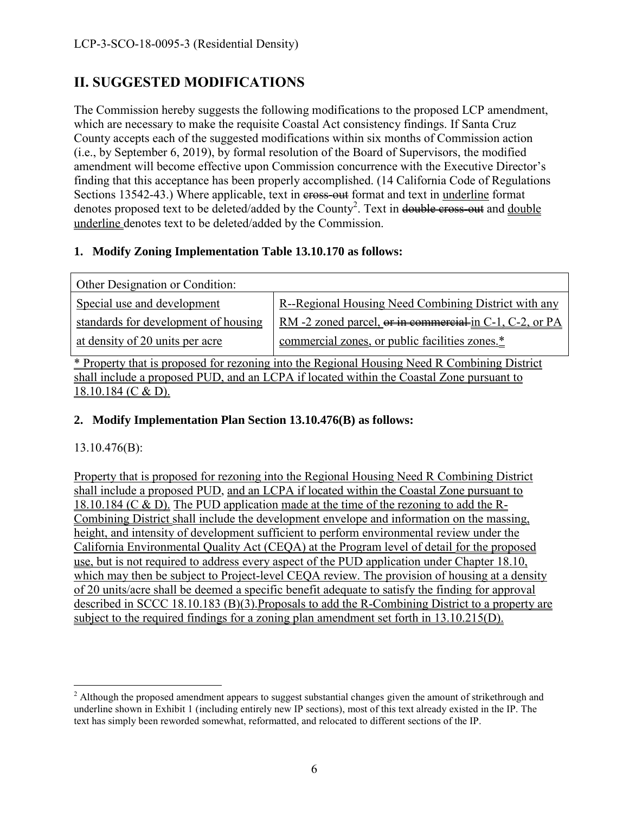# <span id="page-5-0"></span>**II. SUGGESTED MODIFICATIONS**

The Commission hereby suggests the following modifications to the proposed LCP amendment, which are necessary to make the requisite Coastal Act consistency findings. If Santa Cruz County accepts each of the suggested modifications within six months of Commission action (i.e., by September 6, 2019), by formal resolution of the Board of Supervisors, the modified amendment will become effective upon Commission concurrence with the Executive Director's finding that this acceptance has been properly accomplished. (14 California Code of Regulations Sections 13542-43.) Where applicable, text in eross-out format and text in underline format denotes proposed text to be deleted/added by the County<sup>2</sup>. Text in double cross-out and double underline denotes text to be deleted/added by the Commission.

### **1. Modify Zoning Implementation Table 13.10.170 as follows:**

| Other Designation or Condition:                                                       |                                                         |  |  |  |
|---------------------------------------------------------------------------------------|---------------------------------------------------------|--|--|--|
| Special use and development                                                           | R--Regional Housing Need Combining District with any    |  |  |  |
| standards for development of housing                                                  | RM -2 zoned parcel, or in commercial-in C-1, C-2, or PA |  |  |  |
| at density of 20 units per acre                                                       | commercial zones, or public facilities zones.*          |  |  |  |
| $\star$ n and $\star$ 10 $\star$ and $\star$ 111 $\star$ M 100 $1$ $\star$ 12 $\star$ |                                                         |  |  |  |

\* Property that is proposed for rezoning into the Regional Housing Need R Combining District shall include a proposed PUD, and an LCPA if located within the Coastal Zone pursuant to 18.10.184 (C & D).

#### **2. Modify Implementation Plan Section 13.10.476(B) as follows:**

#### 13.10.476(B):

Property that is proposed for rezoning into the Regional Housing Need R Combining District shall include a proposed PUD, and an LCPA if located within the Coastal Zone pursuant to 18.10.184 (C & D). The PUD application made at the time of the rezoning to add the R-Combining District shall include the development envelope and information on the massing, height, and intensity of development sufficient to perform environmental review under the California Environmental Quality Act (CEQA) at the Program level of detail for the proposed use, but is not required to address every aspect of the PUD application under Chapter 18.10, which may then be subject to Project-level CEQA review. The provision of housing at a density of 20 units/acre shall be deemed a specific benefit adequate to satisfy the finding for approval described in SCCC 18.10.183 (B)(3).Proposals to add the R-Combining District to a property are subject to the required findings for a zoning plan amendment set forth in 13.10.215(D).

<sup>&</sup>lt;sup>2</sup> Although the proposed amendment appears to suggest substantial changes given the amount of strikethrough and underline shown in Exhibit 1 (including entirely new IP sections), most of this text already existed in the IP. The text has simply been reworded somewhat, reformatted, and relocated to different sections of the IP.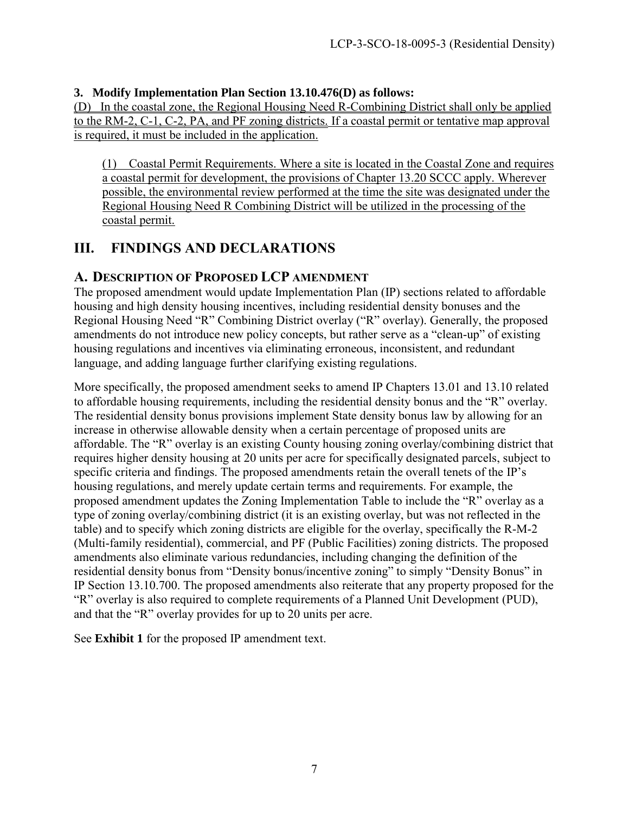#### **3. Modify Implementation Plan Section 13.10.476(D) as follows:**

(D) In the coastal zone, the Regional Housing Need R-Combining District shall only be applied to the RM-2, C-1, C-2, PA, and PF zoning districts. If a coastal permit or tentative map approval is required, it must be included in the application.

(1) Coastal Permit Requirements. Where a site is located in the Coastal Zone and requires a coastal permit for development, the provisions of Chapter [13.20](http://www.codepublishing.com/CA/SantaCruzCounty/#!/SantaCruzCounty13/SantaCruzCounty1320.html#13.20) SCCC apply. Wherever possible, the environmental review performed at the time the site was designated under the Regional Housing Need R Combining District will be utilized in the processing of the coastal permit.

## <span id="page-6-0"></span>**III. FINDINGS AND DECLARATIONS**

### <span id="page-6-1"></span>**A. DESCRIPTION OF PROPOSED LCP AMENDMENT**

The proposed amendment would update Implementation Plan (IP) sections related to affordable housing and high density housing incentives, including residential density bonuses and the Regional Housing Need "R" Combining District overlay ("R" overlay). Generally, the proposed amendments do not introduce new policy concepts, but rather serve as a "clean-up" of existing housing regulations and incentives via eliminating erroneous, inconsistent, and redundant language, and adding language further clarifying existing regulations.

More specifically, the proposed amendment seeks to amend IP Chapters 13.01 and 13.10 related to affordable housing requirements, including the residential density bonus and the "R" overlay. The residential density bonus provisions implement State density bonus law by allowing for an increase in otherwise allowable density when a certain percentage of proposed units are affordable. The "R" overlay is an existing County housing zoning overlay/combining district that requires higher density housing at 20 units per acre for specifically designated parcels, subject to specific criteria and findings. The proposed amendments retain the overall tenets of the IP's housing regulations, and merely update certain terms and requirements. For example, the proposed amendment updates the Zoning Implementation Table to include the "R" overlay as a type of zoning overlay/combining district (it is an existing overlay, but was not reflected in the table) and to specify which zoning districts are eligible for the overlay, specifically the R-M-2 (Multi-family residential), commercial, and PF (Public Facilities) zoning districts. The proposed amendments also eliminate various redundancies, including changing the definition of the residential density bonus from "Density bonus/incentive zoning" to simply "Density Bonus" in IP Section 13.10.700. The proposed amendments also reiterate that any property proposed for the "R" overlay is also required to complete requirements of a Planned Unit Development (PUD), and that the "R" overlay provides for up to 20 units per acre.

See **Exhibit 1** for the proposed IP amendment text.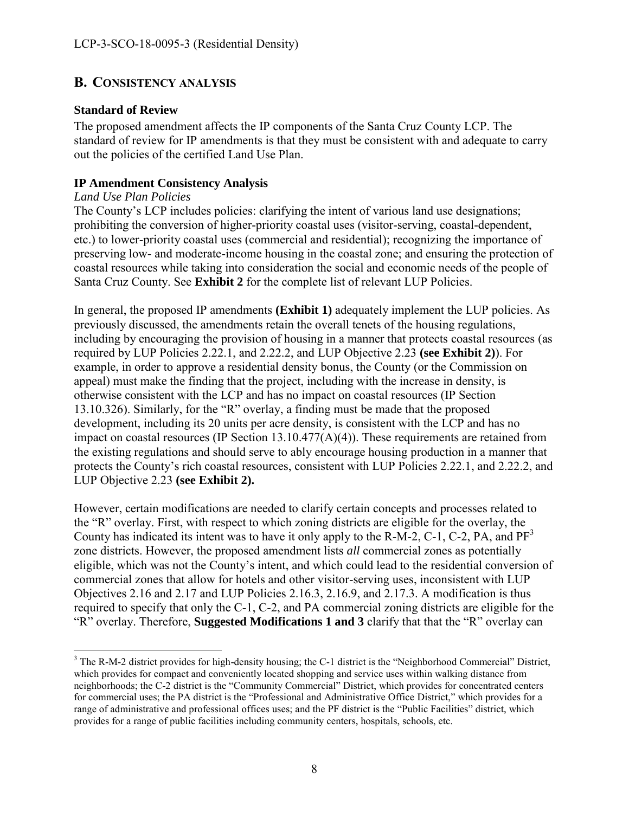### <span id="page-7-0"></span>**B. CONSISTENCY ANALYSIS**

#### **Standard of Review**

The proposed amendment affects the IP components of the Santa Cruz County LCP. The standard of review for IP amendments is that they must be consistent with and adequate to carry out the policies of the certified Land Use Plan.

#### **IP Amendment Consistency Analysis**

#### *Land Use Plan Policies*

The County's LCP includes policies: clarifying the intent of various land use designations; prohibiting the conversion of higher-priority coastal uses (visitor-serving, coastal-dependent, etc.) to lower-priority coastal uses (commercial and residential); recognizing the importance of preserving low- and moderate-income housing in the coastal zone; and ensuring the protection of coastal resources while taking into consideration the social and economic needs of the people of Santa Cruz County. See **Exhibit 2** for the complete list of relevant LUP Policies.

In general, the proposed IP amendments **(Exhibit 1)** adequately implement the LUP policies. As previously discussed, the amendments retain the overall tenets of the housing regulations, including by encouraging the provision of housing in a manner that protects coastal resources (as required by LUP Policies 2.22.1, and 2.22.2, and LUP Objective 2.23 **(see Exhibit 2)**). For example, in order to approve a residential density bonus, the County (or the Commission on appeal) must make the finding that the project, including with the increase in density, is otherwise consistent with the LCP and has no impact on coastal resources (IP Section 13.10.326). Similarly, for the "R" overlay, a finding must be made that the proposed development, including its 20 units per acre density, is consistent with the LCP and has no impact on coastal resources (IP Section 13.10.477(A)(4)). These requirements are retained from the existing regulations and should serve to ably encourage housing production in a manner that protects the County's rich coastal resources, consistent with LUP Policies 2.22.1, and 2.22.2, and LUP Objective 2.23 **(see Exhibit 2).**

However, certain modifications are needed to clarify certain concepts and processes related to the "R" overlay. First, with respect to which zoning districts are eligible for the overlay, the County has indicated its intent was to have it only apply to the R-M-2, C-1, C-2, PA, and  $PF<sup>3</sup>$ zone districts. However, the proposed amendment lists *all* commercial zones as potentially eligible, which was not the County's intent, and which could lead to the residential conversion of commercial zones that allow for hotels and other visitor-serving uses, inconsistent with LUP Objectives 2.16 and 2.17 and LUP Policies 2.16.3, 2.16.9, and 2.17.3. A modification is thus required to specify that only the C-1, C-2, and PA commercial zoning districts are eligible for the "R" overlay. Therefore, **Suggested Modifications 1 and 3** clarify that that the "R" overlay can

<sup>&</sup>lt;sup>3</sup> The R-M-2 district provides for high-density housing; the C-1 district is the "Neighborhood Commercial" District, which provides for compact and conveniently located shopping and service uses within walking distance from neighborhoods; the C-2 district is the "Community Commercial" District, which provides for concentrated centers for commercial uses; the PA district is the "Professional and Administrative Office District," which provides for a range of administrative and professional offices uses; and the PF district is the "Public Facilities" district, which provides for a range of public facilities including community centers, hospitals, schools, etc.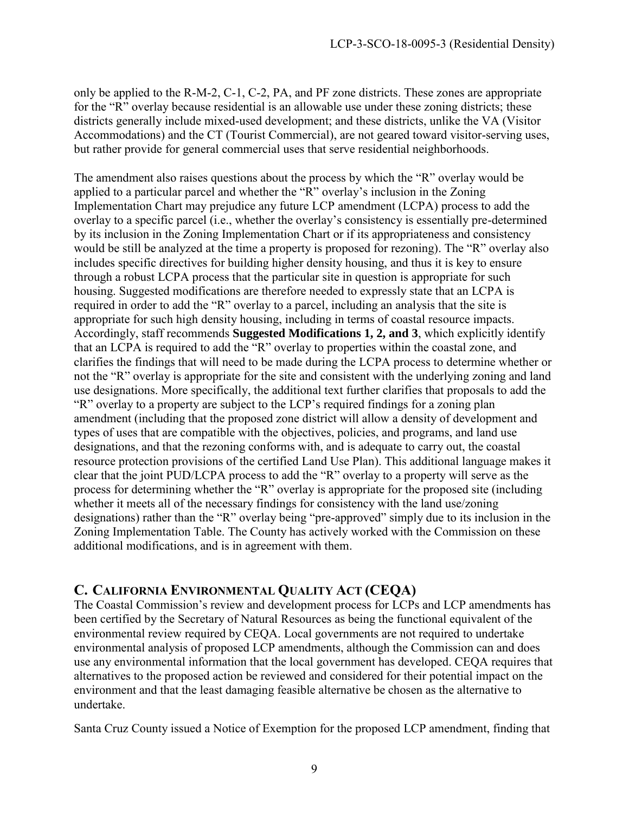only be applied to the R-M-2, C-1, C-2, PA, and PF zone districts. These zones are appropriate for the "R" overlay because residential is an allowable use under these zoning districts; these districts generally include mixed-used development; and these districts, unlike the VA (Visitor Accommodations) and the CT (Tourist Commercial), are not geared toward visitor-serving uses, but rather provide for general commercial uses that serve residential neighborhoods.

The amendment also raises questions about the process by which the "R" overlay would be applied to a particular parcel and whether the "R" overlay's inclusion in the Zoning Implementation Chart may prejudice any future LCP amendment (LCPA) process to add the overlay to a specific parcel (i.e., whether the overlay's consistency is essentially pre-determined by its inclusion in the Zoning Implementation Chart or if its appropriateness and consistency would be still be analyzed at the time a property is proposed for rezoning). The "R" overlay also includes specific directives for building higher density housing, and thus it is key to ensure through a robust LCPA process that the particular site in question is appropriate for such housing. Suggested modifications are therefore needed to expressly state that an LCPA is required in order to add the "R" overlay to a parcel, including an analysis that the site is appropriate for such high density housing, including in terms of coastal resource impacts. Accordingly, staff recommends **Suggested Modifications 1, 2, and 3**, which explicitly identify that an LCPA is required to add the "R" overlay to properties within the coastal zone, and clarifies the findings that will need to be made during the LCPA process to determine whether or not the "R" overlay is appropriate for the site and consistent with the underlying zoning and land use designations. More specifically, the additional text further clarifies that proposals to add the "R" overlay to a property are subject to the LCP's required findings for a zoning plan amendment (including that the proposed zone district will allow a density of development and types of uses that are compatible with the objectives, policies, and programs, and land use designations, and that the rezoning conforms with, and is adequate to carry out, the coastal resource protection provisions of the certified Land Use Plan). This additional language makes it clear that the joint PUD/LCPA process to add the "R" overlay to a property will serve as the process for determining whether the "R" overlay is appropriate for the proposed site (including whether it meets all of the necessary findings for consistency with the land use/zoning designations) rather than the "R" overlay being "pre-approved" simply due to its inclusion in the Zoning Implementation Table. The County has actively worked with the Commission on these additional modifications, and is in agreement with them.

### <span id="page-8-0"></span>**C. CALIFORNIA ENVIRONMENTAL QUALITY ACT (CEQA)**

The Coastal Commission's review and development process for LCPs and LCP amendments has been certified by the Secretary of Natural Resources as being the functional equivalent of the environmental review required by CEQA. Local governments are not required to undertake environmental analysis of proposed LCP amendments, although the Commission can and does use any environmental information that the local government has developed. CEQA requires that alternatives to the proposed action be reviewed and considered for their potential impact on the environment and that the least damaging feasible alternative be chosen as the alternative to undertake.

Santa Cruz County issued a Notice of Exemption for the proposed LCP amendment, finding that